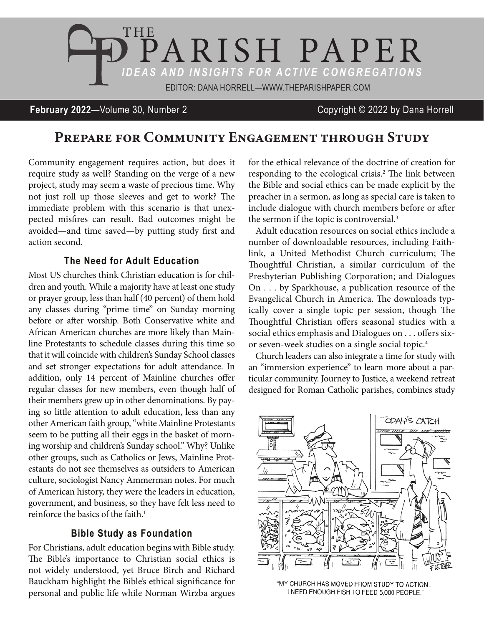

**February 2022**—Volume 30, Number 2 Copyright © 2022 by Dana Horrell

# Prepare for Community Engagement through Study

Community engagement requires action, but does it require study as well? Standing on the verge of a new project, study may seem a waste of precious time. Why not just roll up those sleeves and get to work? The immediate problem with this scenario is that unexpected misfires can result. Bad outcomes might be avoided—and time saved—by putting study first and action second.

### **The Need for Adult Education**

Most US churches think Christian education is for children and youth. While a majority have at least one study or prayer group, less than half (40 percent) of them hold any classes during "prime time" on Sunday morning before or after worship. Both Conservative white and African American churches are more likely than Mainline Protestants to schedule classes during this time so that it will coincide with children's Sunday School classes and set stronger expectations for adult attendance. In addition, only 14 percent of Mainline churches offer regular classes for new members, even though half of their members grew up in other denominations. By paying so little attention to adult education, less than any other American faith group, "white Mainline Protestants seem to be putting all their eggs in the basket of morning worship and children's Sunday school." Why? Unlike other groups, such as Catholics or Jews, Mainline Protestants do not see themselves as outsiders to American culture, sociologist Nancy Ammerman notes. For much of American history, they were the leaders in education, government, and business, so they have felt less need to reinforce the basics of the faith.<sup>1</sup>

#### **Bible Study as Foundation**

For Christians, adult education begins with Bible study. The Bible's importance to Christian social ethics is not widely understood, yet Bruce Birch and Richard Bauckham highlight the Bible's ethical significance for personal and public life while Norman Wirzba argues for the ethical relevance of the doctrine of creation for responding to the ecological crisis.<sup>2</sup> The link between the Bible and social ethics can be made explicit by the preacher in a sermon, as long as special care is taken to include dialogue with church members before or after the sermon if the topic is controversial.<sup>3</sup>

Adult education resources on social ethics include a number of downloadable resources, including Faithlink, a United Methodist Church curriculum; The Thoughtful Christian, a similar curriculum of the Presbyterian Publishing Corporation; and Dialogues On . . . by Sparkhouse, a publication resource of the Evangelical Church in America. The downloads typically cover a single topic per session, though The Thoughtful Christian offers seasonal studies with a social ethics emphasis and Dialogues on . . . offers sixor seven-week studies on a single social topic.4

Church leaders can also integrate a time for study with an "immersion experience" to learn more about a particular community. Journey to Justice, a weekend retreat designed for Roman Catholic parishes, combines study



"MY CHURCH HAS MOVED FROM STUDY TO ACTION... I NEED ENOUGH FISH TO FEED 5,000 PEOPLE."